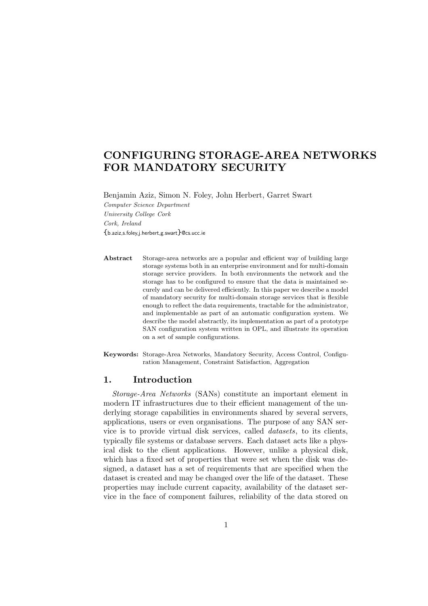# CONFIGURING STORAGE-AREA NETWORKS FOR MANDATORY SECURITY

Benjamin Aziz, Simon N. Foley, John Herbert, Garret Swart Computer Science Department University College Cork Cork, Ireland {b.aziz,s.foley,j.herbert,g.swart}@cs.ucc.ie

- Abstract Storage-area networks are a popular and efficient way of building large storage systems both in an enterprise environment and for multi-domain storage service providers. In both environments the network and the storage has to be configured to ensure that the data is maintained securely and can be delivered efficiently. In this paper we describe a model of mandatory security for multi-domain storage services that is flexible enough to reflect the data requirements, tractable for the administrator, and implementable as part of an automatic configuration system. We describe the model abstractly, its implementation as part of a prototype SAN configuration system written in OPL, and illustrate its operation on a set of sample configurations.
- Keywords: Storage-Area Networks, Mandatory Security, Access Control, Configuration Management, Constraint Satisfaction, Aggregation

### 1. Introduction

Storage-Area Networks (SANs) constitute an important element in modern IT infrastructures due to their efficient management of the underlying storage capabilities in environments shared by several servers, applications, users or even organisations. The purpose of any SAN service is to provide virtual disk services, called datasets, to its clients, typically file systems or database servers. Each dataset acts like a physical disk to the client applications. However, unlike a physical disk, which has a fixed set of properties that were set when the disk was designed, a dataset has a set of requirements that are specified when the dataset is created and may be changed over the life of the dataset. These properties may include current capacity, availability of the dataset service in the face of component failures, reliability of the data stored on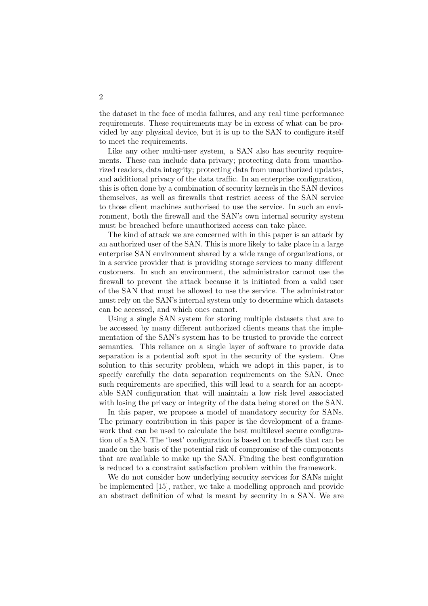the dataset in the face of media failures, and any real time performance requirements. These requirements may be in excess of what can be provided by any physical device, but it is up to the SAN to configure itself to meet the requirements.

Like any other multi-user system, a SAN also has security requirements. These can include data privacy; protecting data from unauthorized readers, data integrity; protecting data from unauthorized updates, and additional privacy of the data traffic. In an enterprise configuration, this is often done by a combination of security kernels in the SAN devices themselves, as well as firewalls that restrict access of the SAN service to those client machines authorised to use the service. In such an environment, both the firewall and the SAN's own internal security system must be breached before unauthorized access can take place.

The kind of attack we are concerned with in this paper is an attack by an authorized user of the SAN. This is more likely to take place in a large enterprise SAN environment shared by a wide range of organizations, or in a service provider that is providing storage services to many different customers. In such an environment, the administrator cannot use the firewall to prevent the attack because it is initiated from a valid user of the SAN that must be allowed to use the service. The administrator must rely on the SAN's internal system only to determine which datasets can be accessed, and which ones cannot.

Using a single SAN system for storing multiple datasets that are to be accessed by many different authorized clients means that the implementation of the SAN's system has to be trusted to provide the correct semantics. This reliance on a single layer of software to provide data separation is a potential soft spot in the security of the system. One solution to this security problem, which we adopt in this paper, is to specify carefully the data separation requirements on the SAN. Once such requirements are specified, this will lead to a search for an acceptable SAN configuration that will maintain a low risk level associated with losing the privacy or integrity of the data being stored on the SAN.

In this paper, we propose a model of mandatory security for SANs. The primary contribution in this paper is the development of a framework that can be used to calculate the best multilevel secure configuration of a SAN. The 'best' configuration is based on tradeoffs that can be made on the basis of the potential risk of compromise of the components that are available to make up the SAN. Finding the best configuration is reduced to a constraint satisfaction problem within the framework.

We do not consider how underlying security services for SANs might be implemented [15], rather, we take a modelling approach and provide an abstract definition of what is meant by security in a SAN. We are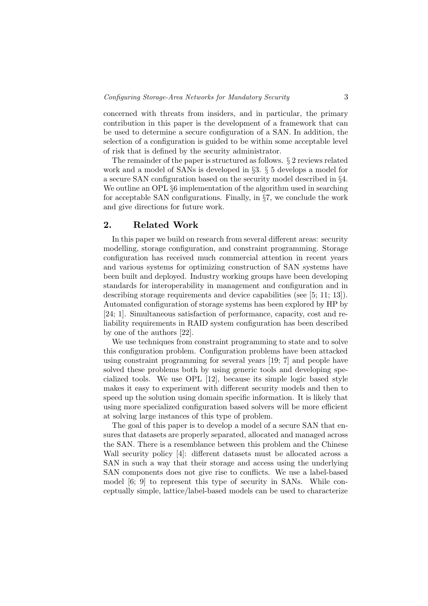concerned with threats from insiders, and in particular, the primary contribution in this paper is the development of a framework that can be used to determine a secure configuration of a SAN. In addition, the selection of a configuration is guided to be within some acceptable level of risk that is defined by the security administrator.

The remainder of the paper is structured as follows. § 2 reviews related work and a model of SANs is developed in §3. § 5 develops a model for a secure SAN configuration based on the security model described in §4. We outline an OPL  $\S6$  implementation of the algorithm used in searching for acceptable SAN configurations. Finally, in §7, we conclude the work and give directions for future work.

#### 2. Related Work

In this paper we build on research from several different areas: security modelling, storage configuration, and constraint programming. Storage configuration has received much commercial attention in recent years and various systems for optimizing construction of SAN systems have been built and deployed. Industry working groups have been developing standards for interoperability in management and configuration and in describing storage requirements and device capabilities (see [5; 11; 13]). Automated configuration of storage systems has been explored by HP by [24; 1]. Simultaneous satisfaction of performance, capacity, cost and reliability requirements in RAID system configuration has been described by one of the authors [22].

We use techniques from constraint programming to state and to solve this configuration problem. Configuration problems have been attacked using constraint programming for several years [19; 7] and people have solved these problems both by using generic tools and developing specialized tools. We use OPL [12], because its simple logic based style makes it easy to experiment with different security models and then to speed up the solution using domain specific information. It is likely that using more specialized configuration based solvers will be more efficient at solving large instances of this type of problem.

The goal of this paper is to develop a model of a secure SAN that ensures that datasets are properly separated, allocated and managed across the SAN. There is a resemblance between this problem and the Chinese Wall security policy [4]: different datasets must be allocated across a SAN in such a way that their storage and access using the underlying SAN components does not give rise to conflicts. We use a label-based model [6; 9] to represent this type of security in SANs. While conceptually simple, lattice/label-based models can be used to characterize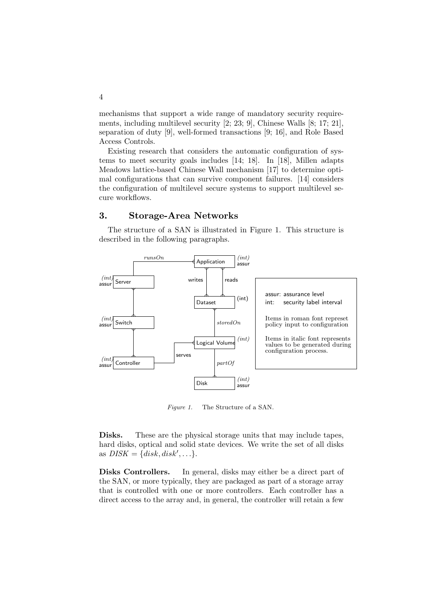mechanisms that support a wide range of mandatory security requirements, including multilevel security [2; 23; 9], Chinese Walls [8; 17; 21], separation of duty [9], well-formed transactions [9; 16], and Role Based Access Controls.

Existing research that considers the automatic configuration of systems to meet security goals includes [14; 18]. In [18], Millen adapts Meadows lattice-based Chinese Wall mechanism [17] to determine optimal configurations that can survive component failures. [14] considers the configuration of multilevel secure systems to support multilevel secure workflows.

# 3. Storage-Area Networks

The structure of a SAN is illustrated in Figure 1. This structure is described in the following paragraphs.



Figure 1. The Structure of a SAN.

Disks. These are the physical storage units that may include tapes, hard disks, optical and solid state devices. We write the set of all disks as  $DISK = \{disk, disk', \ldots\}.$ 

Disks Controllers. In general, disks may either be a direct part of the SAN, or more typically, they are packaged as part of a storage array that is controlled with one or more controllers. Each controller has a direct access to the array and, in general, the controller will retain a few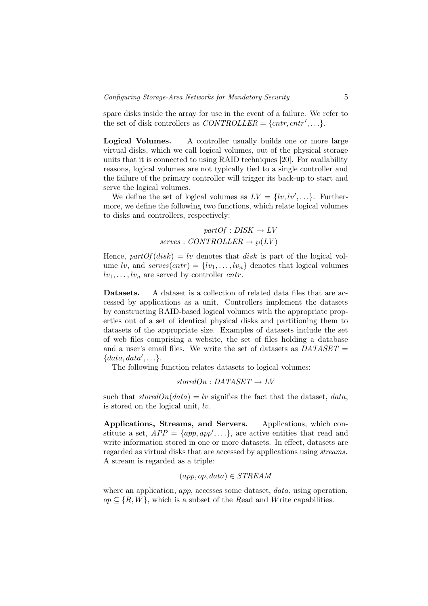spare disks inside the array for use in the event of a failure. We refer to the set of disk controllers as  $CONTROLLER = \{cntr, cntr', \ldots\}.$ 

Logical Volumes. A controller usually builds one or more large virtual disks, which we call logical volumes, out of the physical storage units that it is connected to using RAID techniques [20]. For availability reasons, logical volumes are not typically tied to a single controller and the failure of the primary controller will trigger its back-up to start and serve the logical volumes.

We define the set of logical volumes as  $LV = \{lv, lv', \ldots\}$ . Furthermore, we define the following two functions, which relate logical volumes to disks and controllers, respectively:

> $partOf : DISK \rightarrow LV$  $serves: CONTROLLER \rightarrow \wp(LV)$

Hence,  $partOf(disk) = lw$  denotes that disk is part of the logical volume lv, and serves(cntr) =  $\{lv_1, \ldots, kv_n\}$  denotes that logical volumes  $lv_1, \ldots, lv_n$  are served by controller *cntr*.

Datasets. A dataset is a collection of related data files that are accessed by applications as a unit. Controllers implement the datasets by constructing RAID-based logical volumes with the appropriate properties out of a set of identical physical disks and partitioning them to datasets of the appropriate size. Examples of datasets include the set of web files comprising a website, the set of files holding a database and a user's email files. We write the set of datasets as  $DATASET =$  $\{data, data', \ldots\}.$ 

The following function relates datasets to logical volumes:

$$
storedOn: DATASET \rightarrow LV
$$

such that stored $On(data) = lw$  signifies the fact that the dataset, data, is stored on the logical unit, lv.

Applications, Streams, and Servers. Applications, which constitute a set,  $APP = \{app, app', \ldots\}$ , are active entities that read and write information stored in one or more datasets. In effect, datasets are regarded as virtual disks that are accessed by applications using streams. A stream is regarded as a triple:

$$
(app, op, data) \in STREAM
$$

where an application, *app*, accesses some dataset, *data*, using operation,  $op \subseteq \{R, W\}$ , which is a subset of the Read and Write capabilities.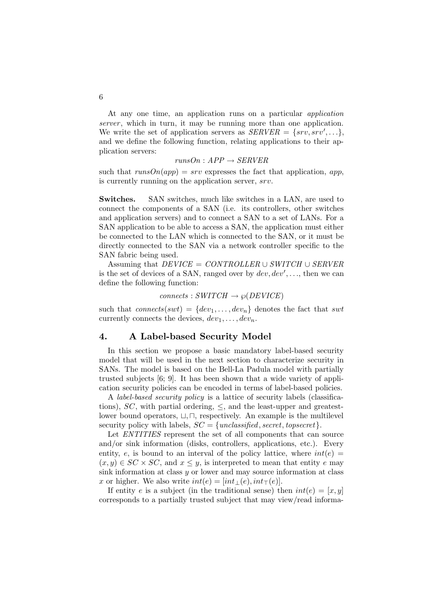At any one time, an application runs on a particular application server, which in turn, it may be running more than one application. We write the set of application servers as  $SERVER = \{srv, srv', \ldots\},\$ and we define the following function, relating applications to their application servers:

#### $runsOn : APP \rightarrow SERNVER$

such that  $runsOn(ap) = srv$  expresses the fact that application, app, is currently running on the application server, srv.

Switches. SAN switches, much like switches in a LAN, are used to connect the components of a SAN (i.e. its controllers, other switches and application servers) and to connect a SAN to a set of LANs. For a SAN application to be able to access a SAN, the application must either be connected to the LAN which is connected to the SAN, or it must be directly connected to the SAN via a network controller specific to the SAN fabric being used.

Assuming that  $DEVICE = CONTROLLER \cup SWITCH \cup SERVER$ is the set of devices of a SAN, ranged over by  $dev, dev', \ldots$ , then we can define the following function:

 $connects: SWITCH \rightarrow \wp(DEVICE)$ 

such that  $connects(swt) = \{dev_1, \ldots, dev_n\}$  denotes the fact that swt currently connects the devices,  $dev_1, \ldots, dev_n$ .

#### 4. A Label-based Security Model

In this section we propose a basic mandatory label-based security model that will be used in the next section to characterize security in SANs. The model is based on the Bell-La Padula model with partially trusted subjects [6; 9]. It has been shown that a wide variety of application security policies can be encoded in terms of label-based policies.

A label-based security policy is a lattice of security labels (classifications), SC, with partial ordering,  $\leq$ , and the least-upper and greatestlower bound operators,  $\sqcup$ ,  $\sqcap$ , respectively. An example is the multilevel security policy with labels,  $SC = \{unclassified, secret, to poseret\}.$ 

Let *ENTITIES* represent the set of all components that can source and/or sink information (disks, controllers, applications, etc.). Every entity, e, is bound to an interval of the policy lattice, where  $int(e)$  $(x, y) \in SC \times SC$ , and  $x \leq y$ , is interpreted to mean that entity e may sink information at class y or lower and may source information at class x or higher. We also write  $int(e) = [int_{\perp}(e), int_{\perp}(e)].$ 

If entity e is a subject (in the traditional sense) then  $int(e) = [x, y]$ corresponds to a partially trusted subject that may view/read informa-

6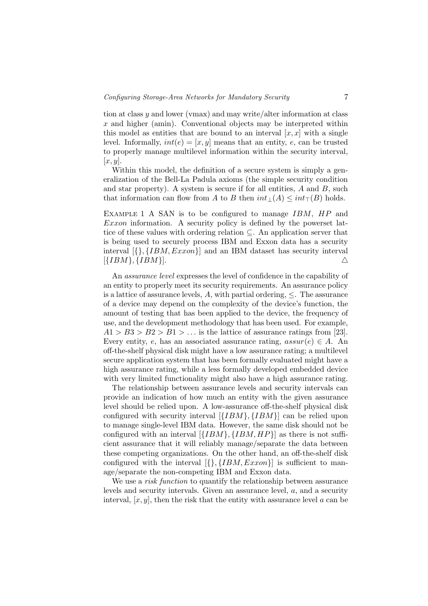tion at class  $y$  and lower (vmax) and may write/alter information at class  $x$  and higher (amin). Conventional objects may be interpreted within this model as entities that are bound to an interval  $[x, x]$  with a single level. Informally,  $int(e) = [x, y]$  means that an entity, e, can be trusted to properly manage multilevel information within the security interval,  $[x, y]$ .

Within this model, the definition of a secure system is simply a generalization of the Bell-La Padula axioms (the simple security condition and star property). A system is secure if for all entities,  $A$  and  $B$ , such that information can flow from A to B then  $int_1(A) \leq int_1(B)$  holds.

EXAMPLE 1 A SAN is to be configured to manage *IBM*, *HP* and Exxon information. A security policy is defined by the powerset lattice of these values with ordering relation ⊆. An application server that is being used to securely process IBM and Exxon data has a security interval  $[\{\}, \{IBM, Exxon\}]$  and an IBM dataset has security interval  $[\{IBM\}, \{IBM\}]$ .  $[{IBM}, {IBM}].$ 

An assurance level expresses the level of confidence in the capability of an entity to properly meet its security requirements. An assurance policy is a lattice of assurance levels,  $A$ , with partial ordering,  $\leq$ . The assurance of a device may depend on the complexity of the device's function, the amount of testing that has been applied to the device, the frequency of use, and the development methodology that has been used. For example,  $A1 > B3 > B2 > B1 > ...$  is the lattice of assurance ratings from [23]. Every entity, e, has an associated assurance rating,  $assur(e) \in A$ . An off-the-shelf physical disk might have a low assurance rating; a multilevel secure application system that has been formally evaluated might have a high assurance rating, while a less formally developed embedded device with very limited functionality might also have a high assurance rating.

The relationship between assurance levels and security intervals can provide an indication of how much an entity with the given assurance level should be relied upon. A low-assurance off-the-shelf physical disk configured with security interval  $[\{IBM\}, \{IBM\}]$  can be relied upon to manage single-level IBM data. However, the same disk should not be configured with an interval  $[\{IBM\}, \{IBM,HP\}]$  as there is not sufficient assurance that it will reliably manage/separate the data between these competing organizations. On the other hand, an off-the-shelf disk configured with the interval  $[\{\}, \{IBM, Exxon\}]$  is sufficient to manage/separate the non-competing IBM and Exxon data.

We use a *risk function* to quantify the relationship between assurance levels and security intervals. Given an assurance level, a, and a security interval,  $[x, y]$ , then the risk that the entity with assurance level a can be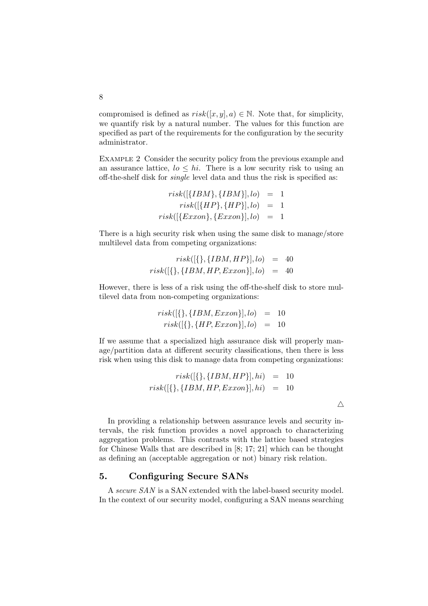compromised is defined as  $risk([x, y], a) \in \mathbb{N}$ . Note that, for simplicity, we quantify risk by a natural number. The values for this function are specified as part of the requirements for the configuration by the security administrator.

Example 2 Consider the security policy from the previous example and an assurance lattice,  $l_0 \leq hi$ . There is a low security risk to using an off-the-shelf disk for single level data and thus the risk is specified as:

$$
risk([{IBM}, {IBM}], lo) = 1
$$
  

$$
risk([{HP}, {HP}], lo) = 1
$$
  

$$
risk([{Exxon}, {Exxon}], lo) = 1
$$

There is a high security risk when using the same disk to manage/store multilevel data from competing organizations:

$$
risk([\{\}, \{IBM,HP\}], lo) = 40
$$
  

$$
risk([\{\}, \{IBM,HP, Exxon\}], lo) = 40
$$

However, there is less of a risk using the off-the-shelf disk to store multilevel data from non-competing organizations:

$$
risk([\{\}, \{IBM, Exxon\}], lo) = 10
$$
  

$$
risk([\{\}, \{HP, Exxon\}], lo) = 10
$$

If we assume that a specialized high assurance disk will properly manage/partition data at different security classifications, then there is less risk when using this disk to manage data from competing organizations:

$$
risk([\{\}, \{IBM,HP\}], hi) = 10
$$
  

$$
risk([\{\}, \{IBM,HP, Exxon\}], hi) = 10
$$

 $\triangle$ 

In providing a relationship between assurance levels and security intervals, the risk function provides a novel approach to characterizing aggregation problems. This contrasts with the lattice based strategies for Chinese Walls that are described in [8; 17; 21] which can be thought as defining an (acceptable aggregation or not) binary risk relation.

# 5. Configuring Secure SANs

A secure SAN is a SAN extended with the label-based security model. In the context of our security model, configuring a SAN means searching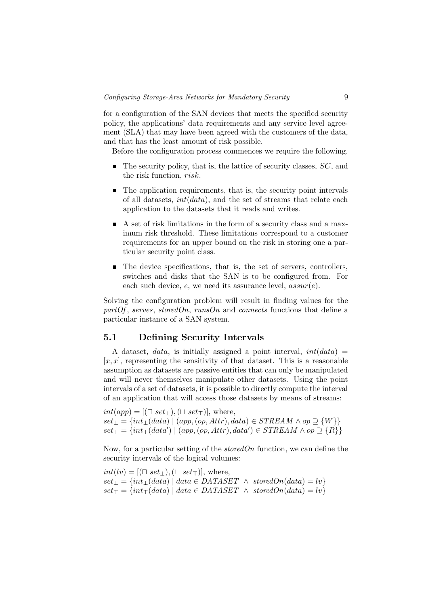for a configuration of the SAN devices that meets the specified security policy, the applications' data requirements and any service level agreement (SLA) that may have been agreed with the customers of the data, and that has the least amount of risk possible.

Before the configuration process commences we require the following.

- $\blacksquare$  The security policy, that is, the lattice of security classes,  $SC$ , and the risk function, risk.
- The application requirements, that is, the security point intervals of all datasets,  $int(data)$ , and the set of streams that relate each application to the datasets that it reads and writes.
- $\blacksquare$ A set of risk limitations in the form of a security class and a maximum risk threshold. These limitations correspond to a customer requirements for an upper bound on the risk in storing one a particular security point class.
- The device specifications, that is, the set of servers, controllers, switches and disks that the SAN is to be configured from. For each such device, e, we need its assurance level,  $assur(e)$ .

Solving the configuration problem will result in finding values for the partOf, serves, storedOn, runsOn and connects functions that define a particular instance of a SAN system.

### 5.1 Defining Security Intervals

A dataset, data, is initially assigned a point interval,  $int(data)$  $[x, x]$ , representing the sensitivity of that dataset. This is a reasonable assumption as datasets are passive entities that can only be manipulated and will never themselves manipulate other datasets. Using the point intervals of a set of datasets, it is possible to directly compute the interval of an application that will access those datasets by means of streams:

 $int(ap) = [(\sqcap set_{\perp}), (\sqcup set_{\top})],$  where, set⊥ = {int⊥(data) | (app, (op, Attr), data) ∈ STREAM  $\land$  op  $\supseteq$  {W}}  $set_{\top} = \{int_{\top} (data') \mid (app, (op, Att), data') \in STREAM \land op \supseteq \{R\}\}\$ 

Now, for a particular setting of the *storedOn* function, we can define the security intervals of the logical volumes:

 $int(lv) = [(\square \ set_{\perp}), (\square \ set_{\top})],$  where,  $set_{\perp} = \{int_{\perp}(data) | data \in DATASET \wedge storedOn(data) = ly\}$  $set_{\top} = \{int_{\top} (data) | data \in DATASET \land storedOn(data) = lv\}$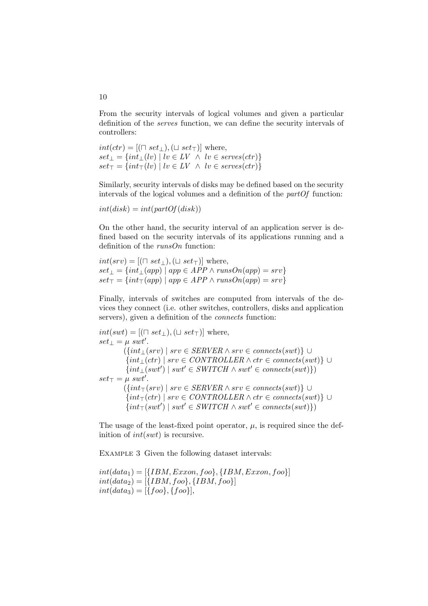From the security intervals of logical volumes and given a particular definition of the serves function, we can define the security intervals of controllers:

 $int (ctr) = [(\square set_+), (\square set_+)]$  where,  $set_{\perp} = \{int_{\perp}(lv) |lv \in LV \wedge lv \in serves(ctr)\}\$  $set_{\top} = \{int_{\top} (lv) | l v \in LV \land l v \in serves(ctr) \}$ 

Similarly, security intervals of disks may be defined based on the security intervals of the logical volumes and a definition of the partOf function:

 $int(disk) = int(partOf(disk))$ 

On the other hand, the security interval of an application server is defined based on the security intervals of its applications running and a definition of the  $runsOn$  function:

 $int(srv) = [(\square \ set_{\perp}), (\square \ set_{\top})]$  where,  $set_{\perp} = \{int_{\perp}(app) | app \in APP \wedge runsOn(app) = srv\}$  $set_{\top} = \{int_{\top}(app) | app \in APP \wedge runsOn(ap) = srv\}$ 

Finally, intervals of switches are computed from intervals of the devices they connect (i.e. other switches, controllers, disks and application servers), given a definition of the *connects* function:

 $int(swt) = [(\square set_{\perp}), (\square set_{\top})]$  where,  $set_{\perp} = \mu \, swt'.$  $({\lbrace int_{\perp}(srv) \mid srv \in SERNER \land srv \in connects(swt)} \cup$  $\{int_{\lceil} (ctr) \mid src \in CONTROLLER \wedge ctr \in connects(swt)\}$  $\{int_{\perp}(swt') | swt' \in SWITCH \wedge swt' \in connects(swt)\}\$  $set_{\top} = \mu \, swt'.$  $({\lbrace int_{\top}(srv) \mid srv \in SERNER \land srv \in connects(swt)} \cup$  $\{int_{\tau}(ctr) | str \in CONTROLLER \wedge cr \in connects(swt)\} \cup$  $\{int_{\top}(swt') \mid swt' \in SWITCH \wedge swt' \in connects(swt)\})$ 

The usage of the least-fixed point operator,  $\mu$ , is required since the definition of  $int(swt)$  is recursive.

Example 3 Given the following dataset intervals:

 $int(data_1) = [{\{IBM, Exxon, foo\}, \{IBM, Exxon, foo\}}]$  $int(data_2) = [{IBM,foo}, {IBM,foo}]$  $int(data_3) = [\{foo\}, \{foo\}],$ 

10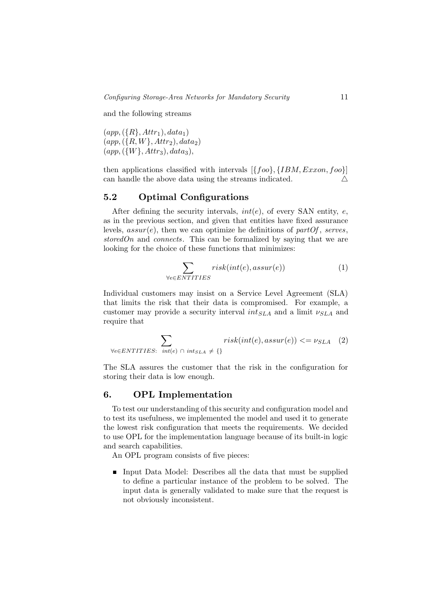and the following streams

 $(app, (\lbrace R \rbrace, Attr_1), data_1)$  $(app, (\lbrace R, W \rbrace, Attr_2), data_2)$  $(ap, (\{W\}, A_{t}tr_{3}), data_{3}),$ 

then applications classified with intervals  $[\{foo\}, \{IBM, Exxon, foo\}]$ <br>can handle the above data using the streams indicated can handle the above data using the streams indicated. 4

## 5.2 Optimal Configurations

After defining the security intervals,  $int(e)$ , of every SAN entity, e, as in the previous section, and given that entities have fixed assurance levels,  $assur(e)$ , then we can optimize he definitions of partOf, serves, storedOn and connects. This can be formalized by saying that we are looking for the choice of these functions that minimizes:

$$
\sum_{\forall e \in ENTITIES} risk(int(e), assume(e))
$$
 (1)

Individual customers may insist on a Service Level Agreement (SLA) that limits the risk that their data is compromised. For example, a customer may provide a security interval  $int_{SLA}$  and a limit  $\nu_{SLA}$  and require that

$$
\sum_{\forall e \in \text{ENTITIES:} \atop \text{int}(e) \cap int_{SLA} \neq \{\}} \text{risk}(int(e), \text{assur}(e)) \leq \nu_{SLA} \quad (2)
$$

The SLA assures the customer that the risk in the configuration for storing their data is low enough.

#### 6. OPL Implementation

To test our understanding of this security and configuration model and to test its usefulness, we implemented the model and used it to generate the lowest risk configuration that meets the requirements. We decided to use OPL for the implementation language because of its built-in logic and search capabilities.

An OPL program consists of five pieces:

■ Input Data Model: Describes all the data that must be supplied to define a particular instance of the problem to be solved. The input data is generally validated to make sure that the request is not obviously inconsistent.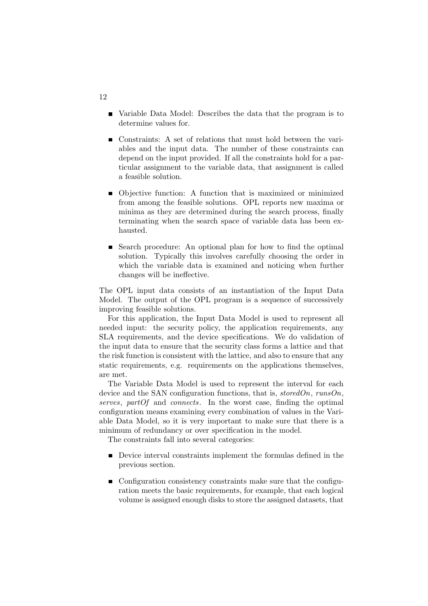- $\blacksquare$ Variable Data Model: Describes the data that the program is to determine values for.
- Constraints: A set of relations that must hold between the variables and the input data. The number of these constraints can depend on the input provided. If all the constraints hold for a particular assignment to the variable data, that assignment is called a feasible solution.
- Objective function: A function that is maximized or minimized from among the feasible solutions. OPL reports new maxima or minima as they are determined during the search process, finally terminating when the search space of variable data has been exhausted.
- Search procedure: An optional plan for how to find the optimal solution. Typically this involves carefully choosing the order in which the variable data is examined and noticing when further changes will be ineffective.

The OPL input data consists of an instantiation of the Input Data Model. The output of the OPL program is a sequence of successively improving feasible solutions.

For this application, the Input Data Model is used to represent all needed input: the security policy, the application requirements, any SLA requirements, and the device specifications. We do validation of the input data to ensure that the security class forms a lattice and that the risk function is consistent with the lattice, and also to ensure that any static requirements, e.g. requirements on the applications themselves, are met.

The Variable Data Model is used to represent the interval for each device and the SAN configuration functions, that is, storedOn, runsOn, serves, partOf and connects. In the worst case, finding the optimal configuration means examining every combination of values in the Variable Data Model, so it is very important to make sure that there is a minimum of redundancy or over specification in the model.

The constraints fall into several categories:

- Device interval constraints implement the formulas defined in the previous section.
- Configuration consistency constraints make sure that the configuration meets the basic requirements, for example, that each logical volume is assigned enough disks to store the assigned datasets, that

#### 12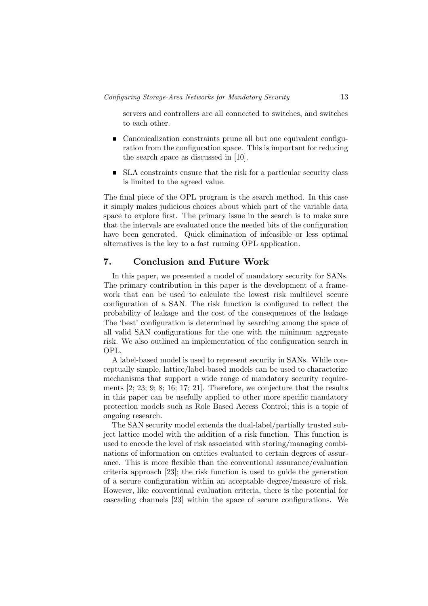servers and controllers are all connected to switches, and switches to each other.

- Canonicalization constraints prune all but one equivalent configuration from the configuration space. This is important for reducing the search space as discussed in [10].
- SLA constraints ensure that the risk for a particular security class  $\blacksquare$ is limited to the agreed value.

The final piece of the OPL program is the search method. In this case it simply makes judicious choices about which part of the variable data space to explore first. The primary issue in the search is to make sure that the intervals are evaluated once the needed bits of the configuration have been generated. Quick elimination of infeasible or less optimal alternatives is the key to a fast running OPL application.

# 7. Conclusion and Future Work

In this paper, we presented a model of mandatory security for SANs. The primary contribution in this paper is the development of a framework that can be used to calculate the lowest risk multilevel secure configuration of a SAN. The risk function is configured to reflect the probability of leakage and the cost of the consequences of the leakage The 'best' configuration is determined by searching among the space of all valid SAN configurations for the one with the minimum aggregate risk. We also outlined an implementation of the configuration search in OPL.

A label-based model is used to represent security in SANs. While conceptually simple, lattice/label-based models can be used to characterize mechanisms that support a wide range of mandatory security requirements [2; 23; 9; 8; 16; 17; 21]. Therefore, we conjecture that the results in this paper can be usefully applied to other more specific mandatory protection models such as Role Based Access Control; this is a topic of ongoing research.

The SAN security model extends the dual-label/partially trusted subject lattice model with the addition of a risk function. This function is used to encode the level of risk associated with storing/managing combinations of information on entities evaluated to certain degrees of assurance. This is more flexible than the conventional assurance/evaluation criteria approach [23]; the risk function is used to guide the generation of a secure configuration within an acceptable degree/measure of risk. However, like conventional evaluation criteria, there is the potential for cascading channels [23] within the space of secure configurations. We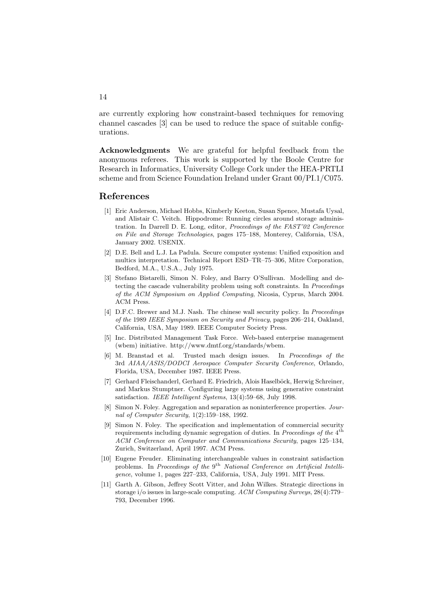are currently exploring how constraint-based techniques for removing channel cascades [3] can be used to reduce the space of suitable configurations.

Acknowledgments We are grateful for helpful feedback from the anonymous referees. This work is supported by the Boole Centre for Research in Informatics, University College Cork under the HEA-PRTLI scheme and from Science Foundation Ireland under Grant 00/PI.1/C075.

#### References

- [1] Eric Anderson, Michael Hobbs, Kimberly Keeton, Susan Spence, Mustafa Uysal, and Alistair C. Veitch. Hippodrome: Running circles around storage administration. In Darrell D. E. Long, editor, Proceedings of the FAST'02 Conference on File and Storage Technologies, pages 175–188, Monterey, California, USA, January 2002. USENIX.
- [2] D.E. Bell and L.J. La Padula. Secure computer systems: Unified exposition and multics interpretation. Technical Report ESD–TR–75–306, Mitre Corporation, Bedford, M.A., U.S.A., July 1975.
- [3] Stefano Bistarelli, Simon N. Foley, and Barry O'Sullivan. Modelling and detecting the cascade vulnerability problem using soft constraints. In Proceedings of the ACM Symposium on Applied Computing, Nicosia, Cyprus, March 2004. ACM Press.
- [4] D.F.C. Brewer and M.J. Nash. The chinese wall security policy. In Proceedings of the 1989 IEEE Symposium on Security and Privacy, pages 206–214, Oakland, California, USA, May 1989. IEEE Computer Society Press.
- [5] Inc. Distributed Management Task Force. Web-based enterprise management (wbem) initiative. http://www.dmtf.org/standards/wbem.
- [6] M. Branstad et al. Trusted mach design issues. In Proceedings of the 3rd AIAA/ASIS/DODCI Aerospace Computer Security Conference, Orlando, Florida, USA, December 1987. IEEE Press.
- [7] Gerhard Fleischanderl, Gerhard E. Friedrich, Alois Haselböck, Herwig Schreiner, and Markus Stumptner. Configuring large systems using generative constraint satisfaction. IEEE Intelligent Systems, 13(4):59–68, July 1998.
- [8] Simon N. Foley. Aggregation and separation as noninterference properties. Journal of Computer Security, 1(2):159–188, 1992.
- [9] Simon N. Foley. The specification and implementation of commercial security requirements including dynamic segregation of duties. In *Proceedings of the*  $4<sup>th</sup>$ ACM Conference on Computer and Communications Security, pages 125–134, Zurich, Switzerland, April 1997. ACM Press.
- [10] Eugene Freuder. Eliminating interchangeable values in constraint satisfaction problems. In Proceedings of the 9<sup>th</sup> National Conference on Artificial Intelligence, volume 1, pages 227–233, California, USA, July 1991. MIT Press.
- [11] Garth A. Gibson, Jeffrey Scott Vitter, and John Wilkes. Strategic directions in storage i/o issues in large-scale computing. ACM Computing Surveys, 28(4):779– 793, December 1996.